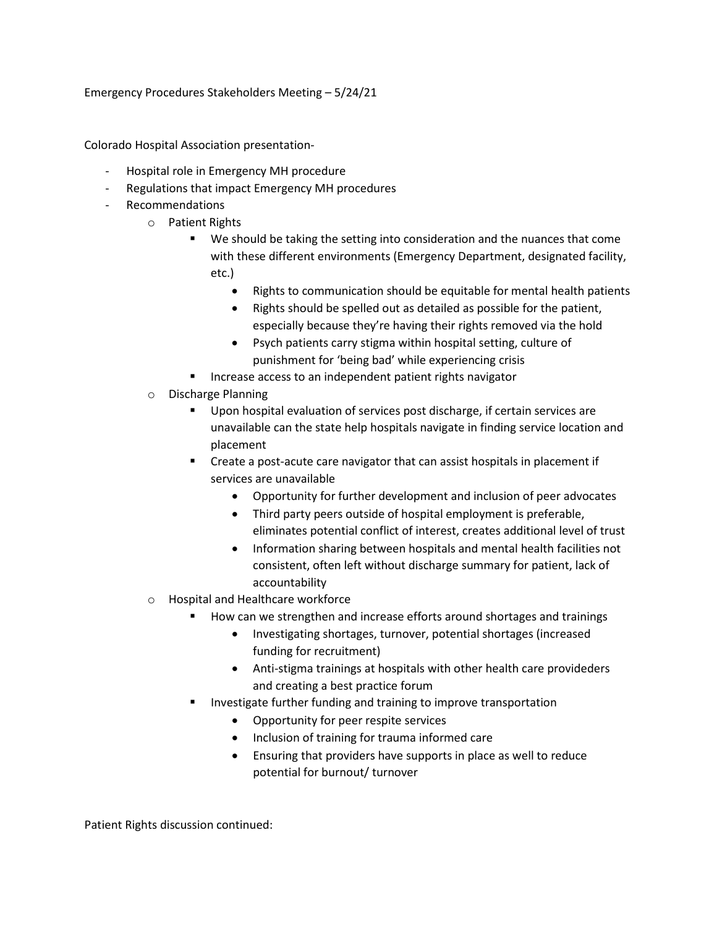Emergency Procedures Stakeholders Meeting – 5/24/21

Colorado Hospital Association presentation-

- Hospital role in Emergency MH procedure
- Regulations that impact Emergency MH procedures
- Recommendations
	- o Patient Rights
		- We should be taking the setting into consideration and the nuances that come with these different environments (Emergency Department, designated facility, etc.)
			- Rights to communication should be equitable for mental health patients
			- Rights should be spelled out as detailed as possible for the patient, especially because they're having their rights removed via the hold
			- Psych patients carry stigma within hospital setting, culture of punishment for 'being bad' while experiencing crisis
		- Increase access to an independent patient rights navigator
	- o Discharge Planning
		- Upon hospital evaluation of services post discharge, if certain services are unavailable can the state help hospitals navigate in finding service location and placement
		- **EXP** Create a post-acute care navigator that can assist hospitals in placement if services are unavailable
			- Opportunity for further development and inclusion of peer advocates
			- Third party peers outside of hospital employment is preferable, eliminates potential conflict of interest, creates additional level of trust
			- Information sharing between hospitals and mental health facilities not consistent, often left without discharge summary for patient, lack of accountability
	- o Hospital and Healthcare workforce
		- How can we strengthen and increase efforts around shortages and trainings
			- Investigating shortages, turnover, potential shortages (increased funding for recruitment)
			- Anti-stigma trainings at hospitals with other health care provideders and creating a best practice forum
		- Investigate further funding and training to improve transportation
			- Opportunity for peer respite services
			- Inclusion of training for trauma informed care
			- Ensuring that providers have supports in place as well to reduce potential for burnout/ turnover

Patient Rights discussion continued: